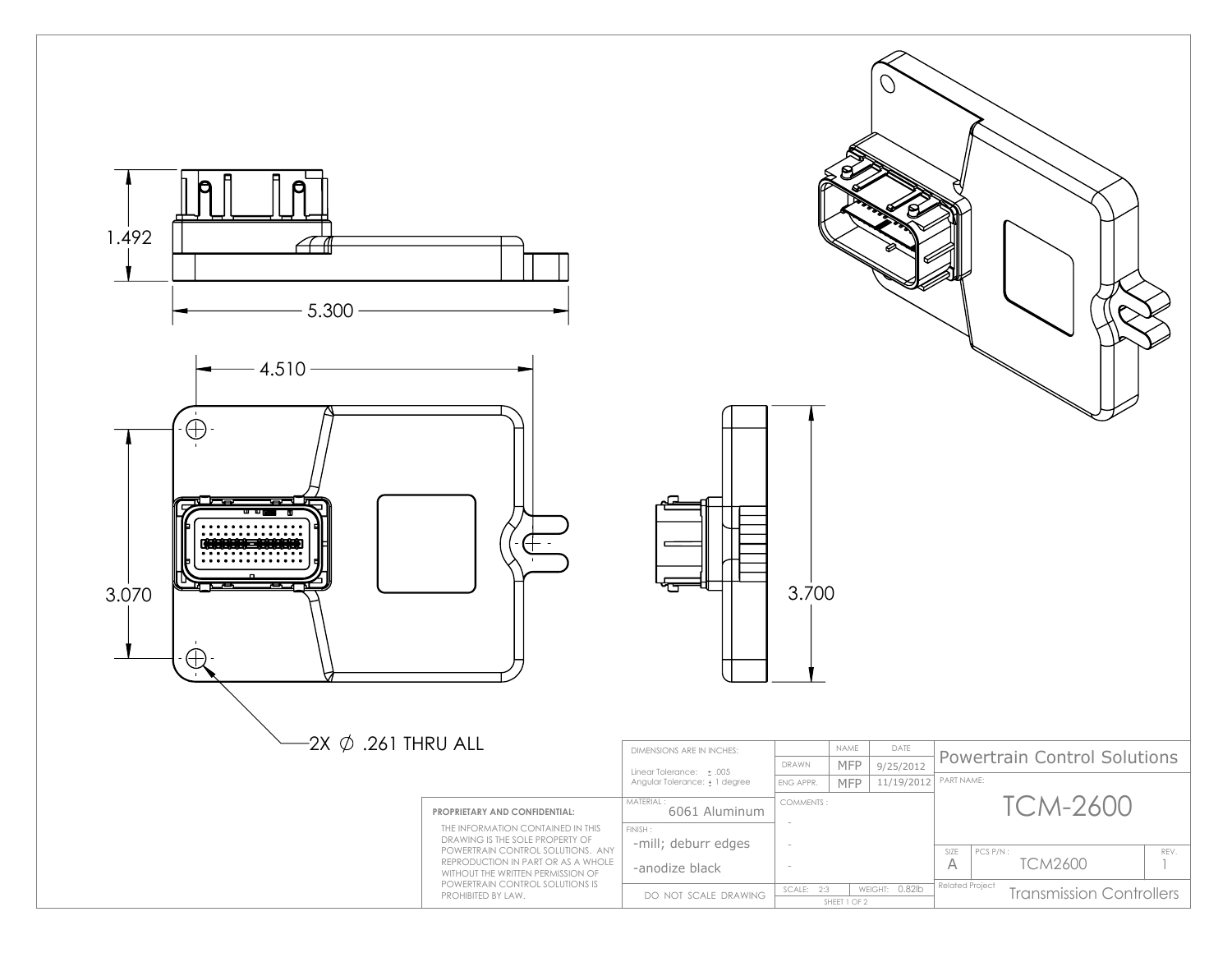